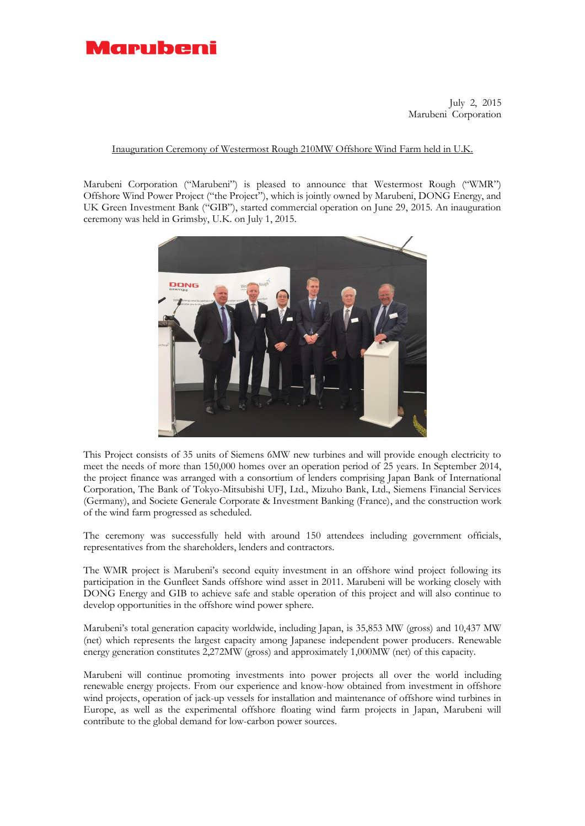

July 2, 2015 Marubeni Corporation

## Inauguration Ceremony of Westermost Rough 210MW Offshore Wind Farm held in U.K.

Marubeni Corporation ("Marubeni") is pleased to announce that Westermost Rough ("WMR") Offshore Wind Power Project ("the Project"), which is jointly owned by Marubeni, DONG Energy, and UK Green Investment Bank ("GIB"), started commercial operation on June 29, 2015. An inauguration ceremony was held in Grimsby, U.K. on July 1, 2015.



This Project consists of 35 units of Siemens 6MW new turbines and will provide enough electricity to meet the needs of more than 150,000 homes over an operation period of 25 years. In September 2014, the project finance was arranged with a consortium of lenders comprising Japan Bank of International Corporation, The Bank of Tokyo-Mitsubishi UFJ, Ltd., Mizuho Bank, Ltd., Siemens Financial Services (Germany), and Societe Generale Corporate & Investment Banking (France), and the construction work of the wind farm progressed as scheduled.

The ceremony was successfully held with around 150 attendees including government officials, representatives from the shareholders, lenders and contractors.

The WMR project is Marubeni's second equity investment in an offshore wind project following its participation in the Gunfleet Sands offshore wind asset in 2011. Marubeni will be working closely with DONG Energy and GIB to achieve safe and stable operation of this project and will also continue to develop opportunities in the offshore wind power sphere.

Marubeni's total generation capacity worldwide, including Japan, is 35,853 MW (gross) and 10,437 MW (net) which represents the largest capacity among Japanese independent power producers. Renewable energy generation constitutes 2,272MW (gross) and approximately 1,000MW (net) of this capacity.

Marubeni will continue promoting investments into power projects all over the world including renewable energy projects. From our experience and know-how obtained from investment in offshore wind projects, operation of jack-up vessels for installation and maintenance of offshore wind turbines in Europe, as well as the experimental offshore floating wind farm projects in Japan, Marubeni will contribute to the global demand for low-carbon power sources.